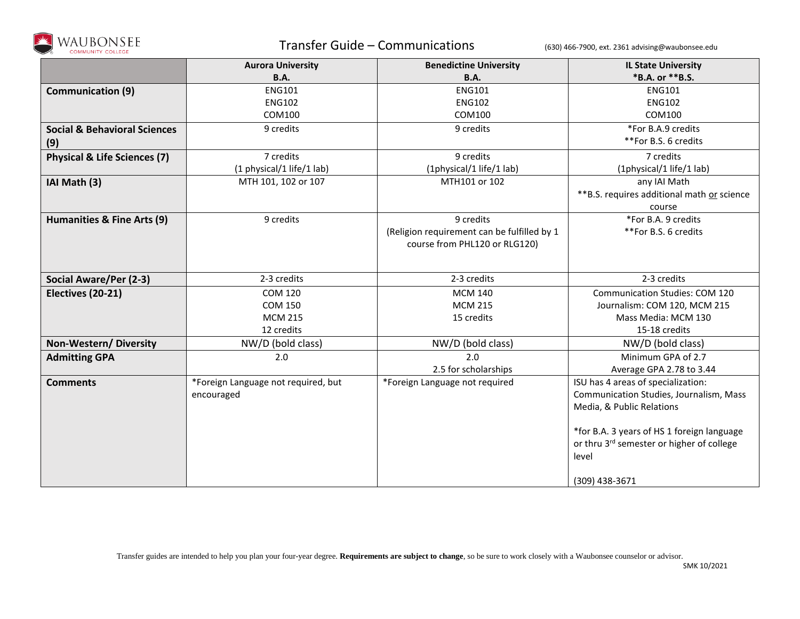

## Transfer Guide – Communications (630) 466-7900, ext. 2361 advising@waubonsee.edu

|                                         | <b>Aurora University</b>            | <b>Benedictine University</b>               | <b>IL State University</b>                  |
|-----------------------------------------|-------------------------------------|---------------------------------------------|---------------------------------------------|
|                                         | <b>B.A.</b>                         | <b>B.A.</b>                                 | *B.A. or **B.S.                             |
| <b>Communication (9)</b>                | <b>ENG101</b>                       | <b>ENG101</b>                               | <b>ENG101</b>                               |
|                                         | <b>ENG102</b>                       | <b>ENG102</b>                               | <b>ENG102</b>                               |
|                                         | COM100                              | COM100                                      | COM100                                      |
| <b>Social &amp; Behavioral Sciences</b> | 9 credits                           | 9 credits                                   | *For B.A.9 credits                          |
| (9)                                     |                                     |                                             | **For B.S. 6 credits                        |
| <b>Physical &amp; Life Sciences (7)</b> | 7 credits                           | 9 credits                                   | 7 credits                                   |
|                                         | (1 physical/1 life/1 lab)           | (1physical/1 life/1 lab)                    | (1physical/1 life/1 lab)                    |
| IAI Math (3)                            | MTH 101, 102 or 107                 | MTH101 or 102                               | any IAI Math                                |
|                                         |                                     |                                             | ** B.S. requires additional math or science |
|                                         |                                     |                                             | course                                      |
| Humanities & Fine Arts (9)              | 9 credits                           | 9 credits                                   | *For B.A. 9 credits                         |
|                                         |                                     | (Religion requirement can be fulfilled by 1 | **For B.S. 6 credits                        |
|                                         |                                     | course from PHL120 or RLG120)               |                                             |
|                                         |                                     |                                             |                                             |
| Social Aware/Per (2-3)                  | 2-3 credits                         | 2-3 credits                                 | 2-3 credits                                 |
| Electives (20-21)                       | <b>COM 120</b>                      | <b>MCM 140</b>                              | <b>Communication Studies: COM 120</b>       |
|                                         | <b>COM 150</b>                      | <b>MCM 215</b>                              | Journalism: COM 120, MCM 215                |
|                                         | <b>MCM 215</b>                      | 15 credits                                  | Mass Media: MCM 130                         |
|                                         | 12 credits                          |                                             | 15-18 credits                               |
| Non-Western/Diversity                   | NW/D (bold class)                   | NW/D (bold class)                           | NW/D (bold class)                           |
| <b>Admitting GPA</b>                    | 2.0                                 | 2.0                                         | Minimum GPA of 2.7                          |
|                                         |                                     | 2.5 for scholarships                        | Average GPA 2.78 to 3.44                    |
| <b>Comments</b>                         | *Foreign Language not required, but | *Foreign Language not required              | ISU has 4 areas of specialization:          |
|                                         | encouraged                          |                                             | Communication Studies, Journalism, Mass     |
|                                         |                                     |                                             | Media, & Public Relations                   |
|                                         |                                     |                                             |                                             |
|                                         |                                     |                                             | *for B.A. 3 years of HS 1 foreign language  |
|                                         |                                     |                                             | or thru 3rd semester or higher of college   |
|                                         |                                     |                                             | level                                       |
|                                         |                                     |                                             |                                             |
|                                         |                                     |                                             | (309) 438-3671                              |